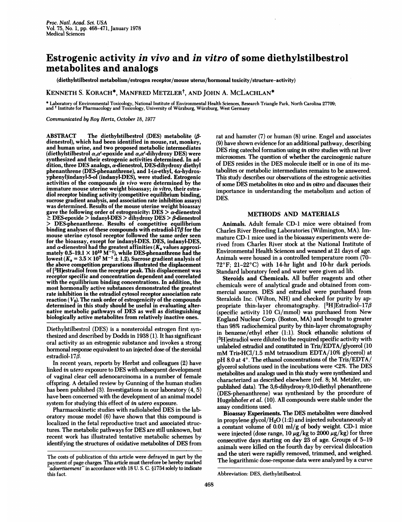# Estrogenic activity in vivo and in vitro of some diethylstilbestrol metabolites and analogs

(diethylstilbestrol metabolism/estrogen receptor/mouse uterus/hormonal toxicity/structure-activity)

KENNETH S. KORACH\*, MANFRED METZLERt, AND JOHN A. MCLACHLAN\*

\* Laboratory of Environmental Toxicology, National Institute of Environmental Health Sciences, Research Triangle Park, North Carolina 27709; and <sup>t</sup> Institute for Pharmacology and Toxicology, University of Wurzburg, Wurzburg, West Germany

Communicated by Roy Hertz, October 18, 1977

ABSTRACT The diethylstilbestrol (DES) metabolite  $(\beta$ dienestrol), which had been identified in mouse, rat, monkey, and human urine, and two proposed metabolic intermediates (diethylstilbestrol  $\alpha, \alpha'$ -epoxide and  $\alpha, \alpha'$ -dihydroxy DES) were synthesized and their estrogenic activities determined. In addition, three DES analogs,  $\alpha$ -dienestrol, DES-dihydroxy diethyl phenanthrene (DES-phenanthrene), and  $1-(\alpha$ -ethyl,  $4\alpha$ -hydroxyphenyl)indanyl-5-ol (indanyl-DES), were studied. Estrogenic activities of the compounds in vivo were determined by the immature mouse uterine weight bioassay; in vitro, their estradiol receptor binding activity (competitive equilibrium binding, sucrose gradient analysis, and association rate inhibition assays) was determined. Results of the mouse uterine weight bioassay gave the following order of estrogenicity:  $DES > \alpha$ -dienestrol  $\geq$  DES-epoxide  $>$  indanyl-DES  $>$  dihydroxy DES  $> \beta$ -dienestrol > DES-phenanthrene. Results of competitive equilibrium binding analyses of these compounds with estradiol-17 $\beta$  for the mouse uterine cytosol receptor followed the same order seen for the bioassay, except for indanyl-DES. DES, indanyl-DES, and  $\alpha$ -dienestrol had the greatest affinities (K<sub>a</sub> values approxi-<br>mately 0.5–19.1 × 10<sup>10</sup> M<sup>–1</sup>), while DES-phenanthrene had the lowest ( $K_a = 3.5 \times 10^7 \text{ M}^{-1} \pm 1.2$ ). Sucrose gradient analysis of the above competition preparations illustrated the displacement of [3H]estradiol from the receptor peak. This displacement was receptor specific and concentration dependent and correlated with the equilibrium binding concentrations. In addition, the most hormonally active substances demonstrated the greatest rate inhibition in the estradiol cytosol receptor association rate reaction  $(V_0)$ . The rank order of estrogenicity of the compounds determined in this study should be useful in evaluating alternative metabolic pathways of DES as well as distinguishing biologically active metabolites from relatively inactive ones.

Diethylstilbestrol (DES) is a nonsteroidal estrogen first synthesized and described by Dodds in 1938 (1). It has significant oral activity as an estrogenic substance and invokes a strong hormonal response equivalent to an injected dose of the steroidal estradiol-17 $\beta$ .

In recent years, reports by Herbst and colleagues (2) have linked in utero exposure to DES with subsequent development of vaginal clear cell adenocarcinoma in a number of female offspring. A detailed review by Gunning of the human studies has been published (3). Investigations in our laboratory (4, 5) have been concerned with the development of an animal model system for studying this effect of in utero exposure.

Pharmacokinetic studies with radiolabeled DES in the laboratory mouse model (6) have shown that this compound is localized in the fetal reproductive tract and associated structures. The metabolic pathways for DES are still unknown, but recent work has illustrated tentative metabolic schemes by identifying the structures of oxidative metabolites of DES from rat and hamster (7) or human (8) urine. Engel and associates (9) have shown evidence for an additional pathway, describing DES ring catechol formation using in vitro studies with rat liver microsomes. The question of whether the carcinogenic nature of DES resides in the DES molecule itself or in one of its metabolites or metabolic intermediates remains to be answered. This study describes our observations of the estrogenic activities of some DES metabolites in vivo and in vitro and discusses their importance in understanding the metabolism and action of DES.

### METHODS AND MATERIALS

Animals. Adult female CD-1 mice were obtained from Charles River Breeding Laboratories (Wilmington, MA). Immature CD-I mice used in the bioassay experiments were derived from Charles River stock at the National Institute of Environmental Health Sciences and weaned at 21 days of age. Animals were housed in a controlled temperature room (70-  $72^{\circ}$ F; 21-22 $^{\circ}$ C) with 14-hr light and 10-hr dark periods. Standard laboratory feed and water were given ad lib.

Steroids and Chemicals. All buffer reagents and other chemicals were of analytical grade and obtained from commercial sources. DES and estradiol were purchased from Steraloids Inc. (Wilton, NH) and checked for purity by appropriate thin-layer chromatography.  $[{}^{3}H]E$ stradiol-17 $\beta$ (specific activity <sup>110</sup> Ci/mmol) was purchased from New England Nuclear Corp. (Boston, MA) and brought to greater than 98% radiochemical purity by thin-layer chromatography in benzene/ethyl ether (1:1). Stock ethanolic solutions of [3H]estradiol were diluted to the required specific activity with unlabeled estradiol and constituted in Tris/EDTA/glycerol (10 mM Tris-HCI/1.5 mM tetrasodium EDTA/10% glycerol) at pH 8.0 at 4°. The ethanol concentrations of the Tris/EDTA/ glycerol solutions used in the incubations were <2%. The DES metabolites and analogs used in this study were synthesized and characterized as described elsewhere (ref. 8; M. Metzler, unpublished data). The 3,6-dihydroxy-9,10-diethyl phenanthrene (DES-phenanthrene) was synthesized by the procedure of Hugelshofer et al. (10). All compounds were stable under the assay conditions used.

Bioassay Experiments. The DES metabolites were dissolved in propylene glycol/ $H_2O(1:2)$  and injected subcutaneously at a constant volume of 0.01 ml/g of body weight. CD-1 mice were injected (dose range,  $10 \mu g/kg$  to 2000  $\mu g/kg$ ) for three consecutive days starting on day 23 of age. Groups of 5-19 animals were killed on the fourth day by cervical dislocation and the uteri were rapidly removed, trimmed, and weighed. The logarithmic dose-response data were analyzed by a curve

The costs of publication of this article were defrayed in part by the payment of page charges. This article must therefore be hereby marked "advertisement" in accordance with 18 U. S. C. §1734 solely to indicate this fact.

Abbreviation: DES, diethylstilbestrol.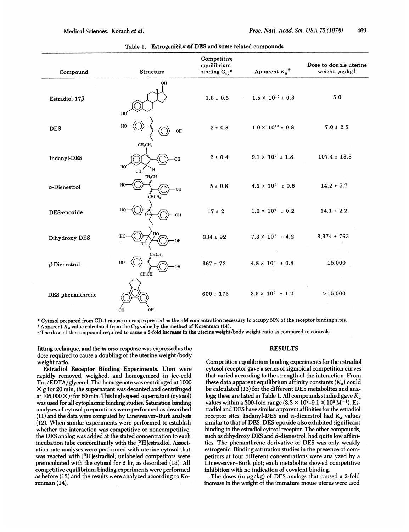#### Medical Sciences: Korach et al.

| Compound             | <b>Structure</b>                                                       | Competitive<br>equilibrium<br>binding $C_{50}$ * | Apparent $K_a$ <sup>†</sup>  | Dose to double uterine<br>weight, $\mu$ g/kg <sup><math>\ddagger</math></sup> |
|----------------------|------------------------------------------------------------------------|--------------------------------------------------|------------------------------|-------------------------------------------------------------------------------|
| Estradiol-17 $\beta$ | OН                                                                     | $1.6 \pm 0.5$                                    | $1.5 \times 10^{10} \pm 0.3$ | 5.0                                                                           |
| <b>DES</b>           | HO<br>H<br>OH                                                          | $2 \pm 0.3$                                      | $1.0 \times 10^{10} \pm 0.8$ | $7.0 \pm 2.5$                                                                 |
| Indanyl-DES          | $\mathrm{CH_{2}CH_{3}}$<br>OН<br>H <sub>O</sub><br>н                   | $2 \pm 0.4$                                      | $9.1 \times 10^9 \pm 1.8$    | $107.4 \pm 13.8$                                                              |
| $\alpha$ -Dienestrol | CH <sub>3</sub><br>CH <sub>3</sub> CH<br>HO<br>OН<br>CHCH <sub>3</sub> | $5 \pm 0.8$                                      | $4.2 \times 10^9 \pm 0.6$    | $14.2 \pm 5.7$                                                                |
| DES-epoxide          | HC<br>OН                                                               | $17 \pm 2$                                       | $1.0 \times 10^9$ ± 0.2      | $14.1 \pm 2.2$                                                                |
| Dihydroxy DES        | HO<br>HO<br>OH<br>ĒЮ                                                   | $334 \pm 92$                                     | $7.3 \times 10^{7} \pm 4.2$  | $3,374 \pm 763$                                                               |
| $\beta$ -Dienestrol  | CHCH <sub>3</sub><br>HO<br>ЭH<br>CH <sub>3</sub> CH                    | $367 \pm 72$                                     | $4.8 \times 10^{7} \pm 0.8$  | 15,000                                                                        |
| DES-phenanthrene     | <b>OH</b><br>OH.                                                       | $600 \pm 173$                                    | $3.5 \times 10^{7} \pm 1.2$  | >15,000                                                                       |

Table 1. Estrogenicity of DES and some related compounds

\* Cytosol prepared from CD-1 mouse uterus; expressed as the nM concentration necessary to occupy 50% of the receptor binding sites.

<sup>†</sup> Apparent  $K_a$  value calculated from the C<sub>50</sub> value by the method of Korenman (14).

<sup>t</sup> The dose of the compound required to cause a 2-fold increase in the uterine weight/body weight ratio as compared to controls.

fitting technique, and the in vivo response was expressed as the dose required to cause a doubling of the uterine weight/body weight ratio.

Estradiol Receptor Binding Experiments. Uteri were rapidly removed, weighed, and homogenized in ice-cold Tris/EDTA/glycerol. This homogenate was centrifuged at 1000  $\times$  g for 20 min; the supernatant was decanted and centrifuged at  $105,000 \times g$  for 60 min. This high-speed supernatant (cytosol) was used for all cytoplasmic binding studies. Saturation binding analyses of cytosol preparations were performed as described (11) and the data were computed by Lineweaver-Burk analysis (12). When similar experiments were performed to establish whether the interaction was competitive or noncompetitive, the DES analog was added at the stated concentration to each incubation tube concomitantly with the [3H]estradiol. Association rate analyses were performed with uterine cytosol that was reacted with [3H]estradiol; unlabeled competitors were preincubated with the cytosol for 2 hr, as described (13). All competitive equilibrium binding experiments were performed as before (13) and the results were analyzed according to Korenman (14).

## **RESULTS**

Competition equilibrium binding experiments for the estradiol cytosol receptor gave a series of sigmoidal competition curves that varied according to the strength of the interaction. From these data apparent equilibrium affinity constants  $(K_a)$  could be calculated (13) for the different DES metabolites and analogs; these are listed in Table 1. All compounds studied gave  $K_a$ values within a 300-fold range  $(3.3 \times 10^7 - 9.1 \times 10^9 \,\mathrm{M}^{-1})$ . Estradiol and DES have similar apparent affinities for the estradiol receptor sites. Indanyl-DES and  $\alpha$ -dienestrol had  $K_a$  values similar to that of DES. DES-epoxide also exhibited significant binding to the estradiol cytosol receptor. The other compounds, such as dihydroxy DES and  $\beta$ -dienestrol, had quite low affinities. The phenanthrene derivative of DES was only weakly estrogenic. Binding saturation studies in the presence of competitors at four different concentrations were analyzed by a Lineweaver-Burk plot; each metabolite showed competitive inhibition with no indication of covalent binding.

The doses (in  $\mu$ g/kg) of DES analogs that caused a 2-fold increase in the weight of the immature mouse uterus were used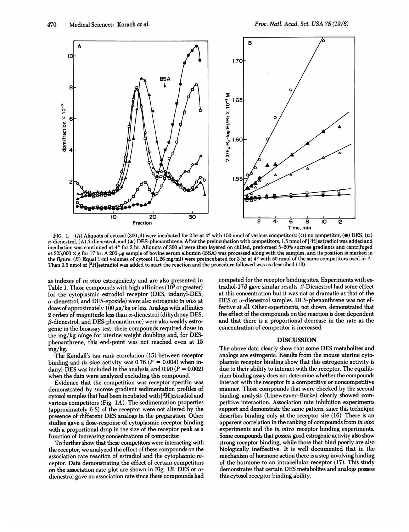

FIG. 1. (A) Aliquots of cytosol (300  $\mu$ ) were incubated for 2 hr at 4° with 150 nmol of various competitors: (O) no competitor, ( $\bullet$ ) DES, ( $\Box$ )  $\alpha$ -dienestrol, ( $\Delta$ )  $\beta$ -dienestrol, and ( $\blacktriangle$ ) DES-phenanthrene. After the preincubation with competitors, 1.5 nmol of [3H]estradiol was added and incubation was continued at  $4^{\circ}$  for 3 hr. Aliquots of 300  $\mu$ l were then layered on chilled, preformed 5-20% sucrose gradients and centrifuged at 225,000  $\times$  g for 17 hr. A 200-µg sample of bovine serum albumin (BSA) was processed along with the samples, and its position is marked in the figure. (B) Equal 1-ml volumes of cytosol (1.26 mg/ml) were preincubated for 3 hr at 4<sup>o</sup> with 50 nmol of the same competitors used in A. Then 0.5 nmol of [3H]estradiol was added to start the reaction and the procedure followed was as described (13).

as indexes of in vivo estrogenicity and are also presented in Table 1. Those compounds with high affinities  $(10^9 \text{ or greater})$ for the cytoplasmic estradiol receptor (DES, indanyl-DES,  $\alpha$ -dienestrol, and DES-epoxide) were also estrogenic in vivo at doses of approximately  $100 \mu g/kg$  or less. Analogs with affinities 2 orders of magnitude less than  $\alpha$ -dienestrol (dihydroxy DES,  $\beta$ -dienestrol, and DES-phenanthrene) were also weakly estrogenic in the bioassay test; these compounds required doses in the mg/kg range for uterine weight doubling and, for DESphenanthrene, this end-point was not reached even at 15 mg/kg.

The Kendall's tau rank correlation (15) between receptor binding and in vivo activity was 0.76 ( $P = 0.004$ ) when indanyl-DES was included in the analysis, and  $0.90 (P = 0.002)$ when the data were analyzed excluding this compound.

Evidence that the competition was receptor specific was demonstrated by sucrose gradient sedimentation profiles of cytosol samples that had been incubated with [3H]estradiol and various competitors (Fig. 1A). The sedimentation properties (approximately 6 S) of the receptor were not altered by the presence of different DES analogs in the preparation. Other studies gave a dose-response of cytoplasmic receptor binding with a proportional drop in the size of the receptor peak as a function of increasing concentrations of competitor.

To further show that these competitors were interacting with the receptor, we analyzed the effect of these compounds on the association rate reaction of estradiol and the cytoplasmic receptor. Data demonstrating the effect of certain competitors on the association rate plot are shown in Fig. 1B. DES or  $\alpha$ dienestrol gave no association rate since these compounds had competed for the receptor binding sites. Experiments with estradiol-17 $\beta$  gave similar results.  $\beta$ -Dienestrol had some effect at this concentration but it was not as dramatic as that of the DES or  $\alpha$ -dienestrol samples. DES-phenanthrene was not effective at all. Other experiments, not shown, demonstrated that the effect of the compounds on the reaction is dose dependent and that there is a proportional decrease in the rate as the concentration of competitor is increased.

#### DISCUSSION

The above data clearly show that some DES metabolites and analogs are estrogenic. Results from the mouse uterine cytoplasmic receptor binding show that this estrogenic activity is due to their ability to interact with the receptor. The equilibrium binding assay does not determine whether the compounds interact with the receptor in a competitive or noncompetitive manner. Those compounds that were checked by the second binding analysis (Lineweaver-Burke) clearly showed competitive interaction. Association rate inhibition experiments support and demonstrate the same pattern, since this technique describes binding only at the receptor site (16). There is an apparent correlation in the ranking of compounds from in vivo experiments and the in vitro receptor binding experiments. Some compounds that possess good estrogenic activity also show strong receptor binding, while those that bind poorly are also biologically ineffective. It is well documented that in the mechanism of hormone action there is a step involving binding of the hormone to an intracellular receptor (17). This study demonstrates that certain DES metabolites and analogs possess this cytosol receptor binding ability.